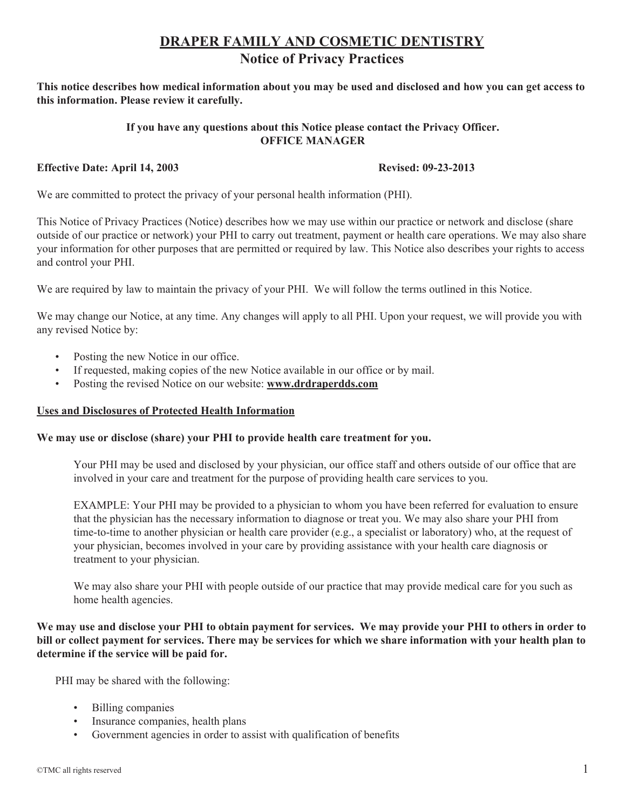# **DRAPER FAMILY AND COSMETIC DENTISTRY Notice of Privacy Practices**

**This notice describes how medical information about you may be used and disclosed and how you can get access to this information. Please review it carefully.** 

## **If you have any questions about this Notice please contact the Privacy Officer. OFFICE MANAGER**

## **Effective Date: April 14, 2003 Revised: 09-23-2013**

We are committed to protect the privacy of your personal health information (PHI).

This Notice of Privacy Practices (Notice) describes how we may use within our practice or network and disclose (share outside of our practice or network) your PHI to carry out treatment, payment or health care operations. We may also share your information for other purposes that are permitted or required by law. This Notice also describes your rights to access and control your PHI.

We are required by law to maintain the privacy of your PHI. We will follow the terms outlined in this Notice.

We may change our Notice, at any time. Any changes will apply to all PHI. Upon your request, we will provide you with any revised Notice by:

- Posting the new Notice in our office.
- If requested, making copies of the new Notice available in our office or by mail.
- Posting the revised Notice on our website: **www.drdraperdds.com**

#### **Uses and Disclosures of Protected Health Information**

#### **We may use or disclose (share) your PHI to provide health care treatment for you.**

Your PHI may be used and disclosed by your physician, our office staff and others outside of our office that are involved in your care and treatment for the purpose of providing health care services to you.

EXAMPLE: Your PHI may be provided to a physician to whom you have been referred for evaluation to ensure that the physician has the necessary information to diagnose or treat you. We may also share your PHI from time-to-time to another physician or health care provider (e.g., a specialist or laboratory) who, at the request of your physician, becomes involved in your care by providing assistance with your health care diagnosis or treatment to your physician.

We may also share your PHI with people outside of our practice that may provide medical care for you such as home health agencies.

**We may use and disclose your PHI to obtain payment for services. We may provide your PHI to others in order to bill or collect payment for services. There may be services for which we share information with your health plan to determine if the service will be paid for.**

PHI may be shared with the following:

- Billing companies
- Insurance companies, health plans
- Government agencies in order to assist with qualification of benefits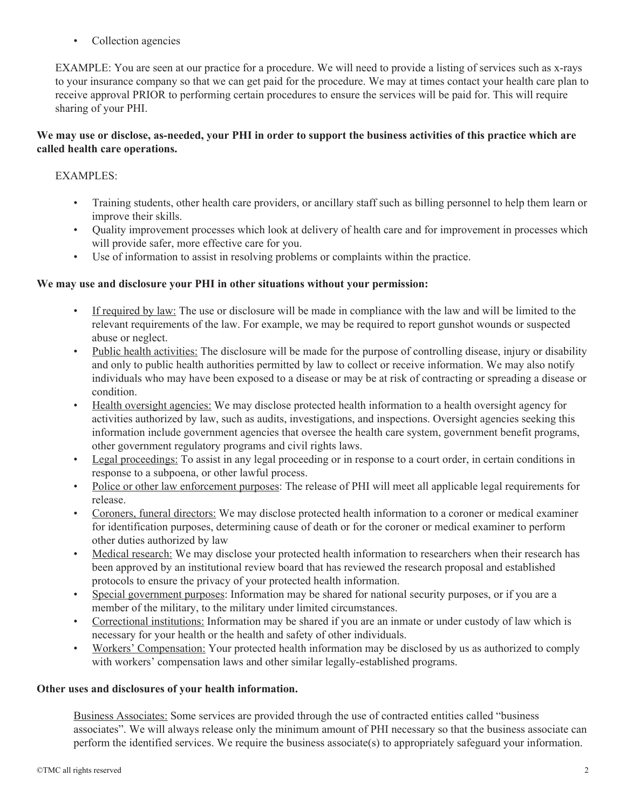• Collection agencies

EXAMPLE: You are seen at our practice for a procedure. We will need to provide a listing of services such as x-rays to your insurance company so that we can get paid for the procedure. We may at times contact your health care plan to receive approval PRIOR to performing certain procedures to ensure the services will be paid for. This will require sharing of your PHI.

# **We may use or disclose, as-needed, your PHI in order to support the business activities of this practice which are called health care operations.**

# EXAMPLES:

- Training students, other health care providers, or ancillary staff such as billing personnel to help them learn or improve their skills.
- Quality improvement processes which look at delivery of health care and for improvement in processes which will provide safer, more effective care for you.
- Use of information to assist in resolving problems or complaints within the practice.

# **We may use and disclosure your PHI in other situations without your permission:**

- If required by law: The use or disclosure will be made in compliance with the law and will be limited to the relevant requirements of the law. For example, we may be required to report gunshot wounds or suspected abuse or neglect.
- Public health activities: The disclosure will be made for the purpose of controlling disease, injury or disability and only to public health authorities permitted by law to collect or receive information. We may also notify individuals who may have been exposed to a disease or may be at risk of contracting or spreading a disease or condition.
- Health oversight agencies: We may disclose protected health information to a health oversight agency for activities authorized by law, such as audits, investigations, and inspections. Oversight agencies seeking this information include government agencies that oversee the health care system, government benefit programs, other government regulatory programs and civil rights laws.
- Legal proceedings: To assist in any legal proceeding or in response to a court order, in certain conditions in response to a subpoena, or other lawful process.
- Police or other law enforcement purposes: The release of PHI will meet all applicable legal requirements for release.
- Coroners, funeral directors: We may disclose protected health information to a coroner or medical examiner for identification purposes, determining cause of death or for the coroner or medical examiner to perform other duties authorized by law
- Medical research: We may disclose your protected health information to researchers when their research has been approved by an institutional review board that has reviewed the research proposal and established protocols to ensure the privacy of your protected health information.
- Special government purposes: Information may be shared for national security purposes, or if you are a member of the military, to the military under limited circumstances.
- Correctional institutions: Information may be shared if you are an inmate or under custody of law which is necessary for your health or the health and safety of other individuals.
- Workers' Compensation: Your protected health information may be disclosed by us as authorized to comply with workers' compensation laws and other similar legally-established programs.

# **Other uses and disclosures of your health information.**

Business Associates: Some services are provided through the use of contracted entities called "business associates". We will always release only the minimum amount of PHI necessary so that the business associate can perform the identified services. We require the business associate(s) to appropriately safeguard your information.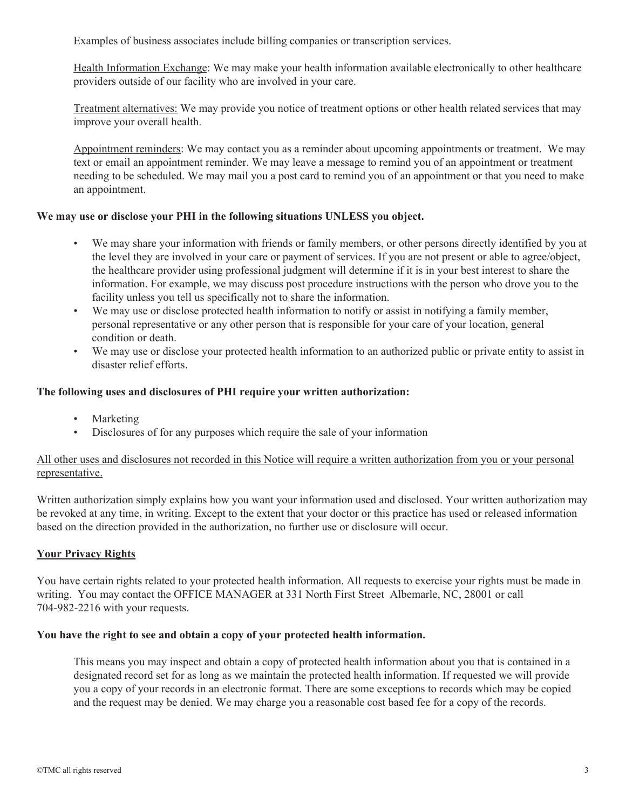Examples of business associates include billing companies or transcription services.

Health Information Exchange: We may make your health information available electronically to other healthcare providers outside of our facility who are involved in your care.

Treatment alternatives: We may provide you notice of treatment options or other health related services that may improve your overall health.

Appointment reminders: We may contact you as a reminder about upcoming appointments or treatment. We may text or email an appointment reminder. We may leave a message to remind you of an appointment or treatment needing to be scheduled. We may mail you a post card to remind you of an appointment or that you need to make an appointment.

## **We may use or disclose your PHI in the following situations UNLESS you object.**

- We may share your information with friends or family members, or other persons directly identified by you at the level they are involved in your care or payment of services. If you are not present or able to agree/object, the healthcare provider using professional judgment will determine if it is in your best interest to share the information. For example, we may discuss post procedure instructions with the person who drove you to the facility unless you tell us specifically not to share the information.
- We may use or disclose protected health information to notify or assist in notifying a family member, personal representative or any other person that is responsible for your care of your location, general condition or death.
- We may use or disclose your protected health information to an authorized public or private entity to assist in disaster relief efforts.

#### **The following uses and disclosures of PHI require your written authorization:**

- Marketing
- Disclosures of for any purposes which require the sale of your information

# All other uses and disclosures not recorded in this Notice will require a written authorization from you or your personal representative.

Written authorization simply explains how you want your information used and disclosed. Your written authorization may be revoked at any time, in writing. Except to the extent that your doctor or this practice has used or released information based on the direction provided in the authorization, no further use or disclosure will occur.

# **Your Privacy Rights**

You have certain rights related to your protected health information. All requests to exercise your rights must be made in writing. You may contact the OFFICE MANAGER at 331 North First Street Albemarle, NC, 28001 or call 704-982-2216 with your requests.

#### **You have the right to see and obtain a copy of your protected health information.**

This means you may inspect and obtain a copy of protected health information about you that is contained in a designated record set for as long as we maintain the protected health information. If requested we will provide you a copy of your records in an electronic format. There are some exceptions to records which may be copied and the request may be denied. We may charge you a reasonable cost based fee for a copy of the records.